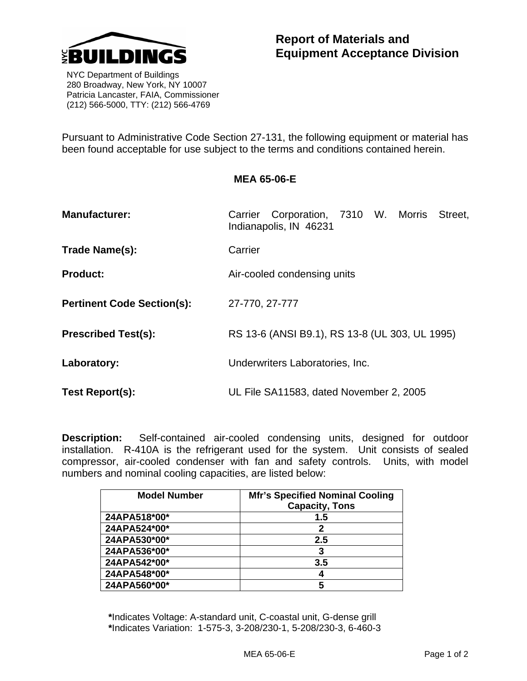

 NYC Department of Buildings 280 Broadway, New York, NY 10007 Patricia Lancaster, FAIA, Commissioner (212) 566-5000, TTY: (212) 566-4769

Pursuant to Administrative Code Section 27-131, the following equipment or material has been found acceptable for use subject to the terms and conditions contained herein.

## **MEA 65-06-E**

| <b>Manufacturer:</b>              | Carrier Corporation, 7310 W. Morris Street,<br>Indianapolis, IN 46231 |
|-----------------------------------|-----------------------------------------------------------------------|
| Trade Name(s):                    | Carrier                                                               |
| <b>Product:</b>                   | Air-cooled condensing units                                           |
| <b>Pertinent Code Section(s):</b> | 27-770, 27-777                                                        |
| <b>Prescribed Test(s):</b>        | RS 13-6 (ANSI B9.1), RS 13-8 (UL 303, UL 1995)                        |
| Laboratory:                       | Underwriters Laboratories, Inc.                                       |
| Test Report(s):                   | UL File SA11583, dated November 2, 2005                               |

**Description:** Self-contained air-cooled condensing units, designed for outdoor installation. R-410A is the refrigerant used for the system. Unit consists of sealed compressor, air-cooled condenser with fan and safety controls. Units, with model numbers and nominal cooling capacities, are listed below:

| <b>Model Number</b> | <b>Mfr's Specified Nominal Cooling</b><br><b>Capacity, Tons</b> |
|---------------------|-----------------------------------------------------------------|
| 24APA518*00*        | 1.5                                                             |
| 24APA524*00*        | 2                                                               |
| 24APA530*00*        | 2.5                                                             |
| 24APA536*00*        | 3                                                               |
| 24APA542*00*        | 3.5                                                             |
| 24APA548*00*        |                                                                 |
| 24APA560*00*        | 5                                                               |

**\***Indicates Voltage: A-standard unit, C-coastal unit, G-dense grill **\***Indicates Variation: 1-575-3, 3-208/230-1, 5-208/230-3, 6-460-3